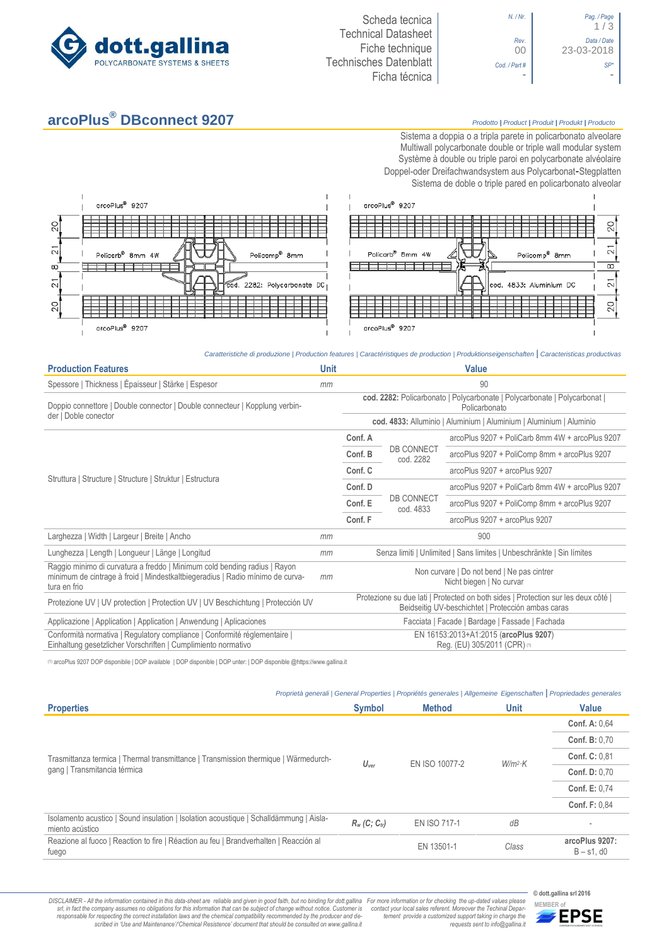

## **arcoPlus® DBconnect 9207** *Prodotto <sup>|</sup> Product <sup>|</sup> Produit <sup>|</sup> Produkt <sup>|</sup> Producto*



arcoPlus<sup>®</sup> 9207

arcoPlus<sup>®</sup> 9207

 $\overline{c}$ 

 $\overline{2}1$ 

ങ്

 $\overline{2}1$ 

 $\overline{O}$ 

 $\overline{1}$ 

日

*Caratteristiche di produzione | Production features | Caractéristiques de production | Produktionseigenschaften* **|** *Caracteristicas productivas*

| <b>Production Features</b>                                                                                                                                                 | <b>Unit</b> | <b>Value</b>                                                                                                                            |                                |                                                 |  |
|----------------------------------------------------------------------------------------------------------------------------------------------------------------------------|-------------|-----------------------------------------------------------------------------------------------------------------------------------------|--------------------------------|-------------------------------------------------|--|
| Spessore   Thickness   Épaisseur   Stärke   Espesor                                                                                                                        | mm          | 90                                                                                                                                      |                                |                                                 |  |
| Doppio connettore   Double connector   Double connecteur   Kopplung verbin-<br>der   Doble conector                                                                        |             | cod. 2282: Policarbonato   Polycarbonate   Polycarbonate   Polycarbonat  <br>Policarbonato                                              |                                |                                                 |  |
|                                                                                                                                                                            |             | cod. 4833: Alluminio   Aluminium   Aluminium   Aluminium   Aluminio                                                                     |                                |                                                 |  |
| Struttura   Structure   Structure   Struktur   Estructura                                                                                                                  |             | Conf. A                                                                                                                                 |                                | arcoPlus 9207 + PoliCarb 8mm 4W + arcoPlus 9207 |  |
|                                                                                                                                                                            |             | Conf. B                                                                                                                                 | <b>DB CONNECT</b><br>cod. 2282 | arcoPlus 9207 + PoliComp 8mm + arcoPlus 9207    |  |
|                                                                                                                                                                            |             | Conf. C                                                                                                                                 |                                | arcoPlus 9207 + arcoPlus 9207                   |  |
|                                                                                                                                                                            |             | Conf. D                                                                                                                                 |                                | arcoPlus 9207 + PoliCarb 8mm 4W + arcoPlus 9207 |  |
|                                                                                                                                                                            |             | Conf. E                                                                                                                                 | <b>DB CONNECT</b><br>cod. 4833 | arcoPlus 9207 + PoliComp 8mm + arcoPlus 9207    |  |
|                                                                                                                                                                            |             | Conf. F                                                                                                                                 |                                | arcoPlus 9207 + arcoPlus 9207                   |  |
| Larghezza   Width   Largeur   Breite   Ancho                                                                                                                               | mm          | 900                                                                                                                                     |                                |                                                 |  |
| Lunghezza   Length   Longueur   Länge   Longitud                                                                                                                           | mm          | Senza limiti   Unlimited   Sans limites   Unbeschränkte   Sin límites                                                                   |                                |                                                 |  |
| Raggio minimo di curvatura a freddo   Minimum cold bending radius   Rayon<br>minimum de cintrage à froid   Mindestkaltbiegeradius   Radio mínimo de curva-<br>tura en frio | mm          | Non curvare   Do not bend   Ne pas cintrer<br>Nicht biegen   No curvar                                                                  |                                |                                                 |  |
| Protezione UV   UV protection   Protection UV   UV Beschichtung   Protección UV                                                                                            |             | Protezione su due lati   Protected on both sides   Protection sur les deux côté  <br>Beidseitig UV-beschichtet   Protección ambas caras |                                |                                                 |  |
| Applicazione   Application   Application   Anwendung   Aplicaciones                                                                                                        |             | Facciata   Facade   Bardage   Fassade   Fachada                                                                                         |                                |                                                 |  |
| Conformità normativa   Regulatory compliance   Conformité réglementaire  <br>Einhaltung gesetzlicher Vorschriften   Cumplimiento normativo                                 |             | EN 16153:2013+A1:2015 (arcoPlus 9207)<br>Reg. (EU) 305/2011 (CPR) (1)                                                                   |                                |                                                 |  |

(1) arcoPlus 9207 DOP disponibile | DOP available | DOP disponible | DOP unter: | DOP disponible @https://www.gallina.it

| Proprietà generali   General Properties   Propriétés generales   Allgemeine Eigenschaften   Propriedades generales |                             |                     |             |                                    |  |  |
|--------------------------------------------------------------------------------------------------------------------|-----------------------------|---------------------|-------------|------------------------------------|--|--|
| <b>Properties</b>                                                                                                  | <b>Symbol</b>               | <b>Method</b>       | <b>Unit</b> | <b>Value</b>                       |  |  |
|                                                                                                                    | $U_{\text{ver}}$            | EN ISO 10077-2      |             | <b>Conf. A: 0.64</b>               |  |  |
|                                                                                                                    |                             |                     | $W/m^2$ K   | Conf. B: 0.70                      |  |  |
| Trasmittanza termica   Thermal transmittance   Transmission thermique   Wärmedurch-                                |                             |                     |             | <b>Conf. C: 0.81</b>               |  |  |
| gang   Transmitancia térmica                                                                                       |                             |                     |             | <b>Conf. D: 0.70</b>               |  |  |
|                                                                                                                    |                             |                     |             | <b>Conf. E: 0.74</b>               |  |  |
|                                                                                                                    |                             |                     |             | <b>Conf. F: 0.84</b>               |  |  |
| Isolamento acustico   Sound insulation   Isolation acoustique   Schalldämmung   Aisla-<br>miento acústico          | $R_w$ (C; C <sub>tr</sub> ) | <b>EN ISO 717-1</b> | dB          |                                    |  |  |
| Reazione al fuoco   Reaction to fire   Réaction au feu   Brandverhalten   Reacción al<br>fuego                     |                             | EN 13501-1          | Class       | arcoPlus 9207:<br>$B - s1$ , d $0$ |  |  |

DISCLAIMER - All the information contained in this data-sheet are reliable and given in good faith, but no binding for dott.gallina For more information or for checking the up-dated values please<br>-srl, in fact the company -responsable for respecting the correct installation laws and the chemical compatibility recommended by the producer and de-<br>scribed in 'Use and Maintenance'/'Chemical Resistence' document that should be consulted on www.g

*tement provide a customized support taking in charge the requests sent to info@gallina.it*



**© dott.gallina srl 2016**

1 / 3

00 23-03-2018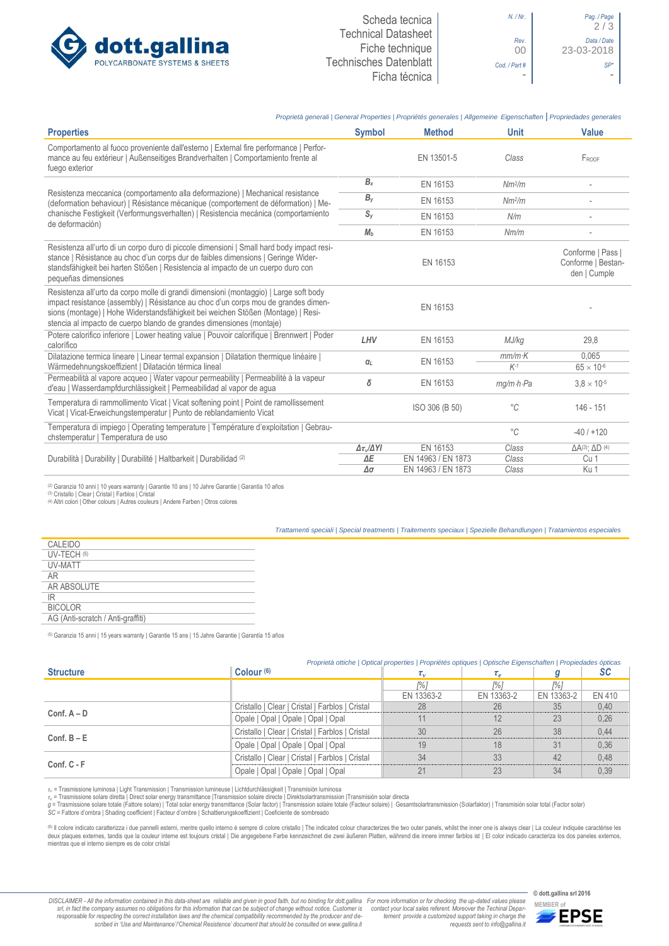

| $N.$ / $Nr.$      |
|-------------------|
| Rev.<br>$\bigcap$ |
| Cod. / Part #     |
|                   |



## *Proprietà generali | General Properties | Propriétés generales | Allgemeine Eigenschaften* **|** *Propriedades generales* **Properties Symbol Method Unit Value** Comportamento al fuoco proveniente dall'esterno | External fire performance | Performance au feu extérieur | Außenseitiges Brandverhalten | Comportamiento frente al fuego exterior EN 13501-5 *Class* FROOF Resistenza meccanica (comportamento alla deformazione) | Mechanical resistance (deformation behaviour) | Résistance mécanique (comportement de déformation) | Mechanische Festigkeit (Verformungsverhalten) | Resistencia mecánica (comportamiento de deformación)  $B_x$  EN 16153 *Nm<sup>2</sup>/m /m* - *B<sup>y</sup>* EN 16153 *Nm<sup>2</sup> /m* - *S<sup>y</sup>* EN 16153 *N/m* - *M<sup>b</sup>* EN 16153 *Nm/m* - Resistenza all'urto di un corpo duro di piccole dimensioni | Small hard body impact resistance | Résistance au choc d'un corps dur de faibles dimensions | Geringe Widerstandsfähigkeit bei harten Stößen | Resistencia al impacto de un cuerpo duro con pequeñas dimensiones EN 16153 Conforme | Pass | Conforme | Bestanden | Cumple Resistenza all'urto da corpo molle di grandi dimensioni (montaggio) | Large soft body impact resistance (assembly) | Résistance au choc d'un corps mou de grandes dimensions (montage) | Hohe Widerstandsfähigkeit bei weichen Stößen (Montage) | Resistencia al impacto de cuerpo blando de grandes dimensiones (montaje) FN 16153 Potere calorifico inferiore | Lower heating value | Pouvoir calorifique | Brennwert | Poder calorífico *LHV* EN 16153 *MJ/kg* 29,8 Dilatazione termica lineare | Linear termal expansion | Dilatation thermique linéaire | Wärmedehnungskoeffizient | Dilatación térmica lineal *<sup>α</sup><sup>L</sup>* EN 16153 *mm/m·K* 0,065  $K^{-1}$  65  $\times$  10<sup>-6</sup> Permeabilità al vapore acqueo | Water vapour permeability | Permeabilité à la vapeur d'eau | Wasserdampfdurchlässigkeit | Permeabilidad al vapor de agua *<sup>δ</sup>* EN 16153 *mg/mhPa* 3,8 <sup>10</sup>-5 Temperatura di rammollimento Vicat | Vicat softening point | Point de ramollissement Temperatura di rammollimento vicat | vicat sottening point | Point de ramollissement<br>Vicat | Vicat-Erweichungstemperatur | Punto de reblandamiento Vicat | vicat | vicat | vicat | Vicat-Erweichungstemperatur | Punto de rebl Temperatura di impiego | Operating temperature | Température d'exploitation | Gebrauchstemperatura di implego | Operating temperature | Temperature d'exploitation | Gebrau-<br>
chstemperatur | Temperatura de uso *<sup>2</sup>C* -40 / +120 / +120 -40 / +120 / -40 / +120 / -40 / -4120 / -40 / -4120 / -40 / -4120 / -40 Durabilità | Durability | Durabilité | Haltbarkeit | Durabilidad (2) *Δτv/ΔYI* EN 16153 *Class* ΔA(3)  $ΔA<sup>(3)</sup>; ΔD<sup>(4)</sup>$ *LEN 14963 / EN 1873 Δσ* EN 14963 / EN 1873 *Class* Ku 1

(2) Garanzia 10 anni | 10 years warranty | Garantie 10 ans | 10 Jahre Garantie | Garantía 10 años

(3) Cristallo | Clear | Cristal | Farblos | Cristal

(4) Altri colori | Other colours | Autres couleurs | Andere Farben | Otros colores

## *Trattamenti speciali | Special treatments | Traitements speciaux | Spezielle Behandlungen | Tratamientos especiales*

| CALEIDO                           |
|-----------------------------------|
| IJV-TFCH (5)                      |
| <b>UV-MATT</b>                    |
| AR                                |
| AR ABSOLUTE                       |
| IR                                |
| BICOLOR                           |
| AG (Anti-scratch / Anti-graffiti) |
|                                   |

(5) Garanzia 15 anni | 15 years warranty | Garantie 15 ans | 15 Jahre Garantie | Garantía 15 años

|                                                     | Proprietà ottiche   Optical properties   Propriétés optiques   Optische Eigenschaften   Propiedades ópticas |              |                                  |            |           |  |  |
|-----------------------------------------------------|-------------------------------------------------------------------------------------------------------------|--------------|----------------------------------|------------|-----------|--|--|
| <b>Structure</b>                                    | Colour <sup>(6)</sup>                                                                                       | $\tau_{\nu}$ | $\iota_{\scriptscriptstyle\rho}$ |            | <b>SC</b> |  |  |
|                                                     |                                                                                                             | 1%1          | 1% I                             | [%]        |           |  |  |
|                                                     |                                                                                                             | EN 13363-2   | EN 13363-2                       | EN 13363-2 | EN 410    |  |  |
|                                                     | Cristallo   Clear   Cristal   Farblos   Cristal                                                             | 28           | 26                               | 35         | 0,40      |  |  |
| $Conf. A - D$                                       | Opale   Opal   Opale   Opal   Opal                                                                          | 11           | 12                               | 23         | 0.26      |  |  |
| $Conf. B - E$<br>Opale   Opal   Opale   Opal   Opal | Cristallo   Clear   Cristal   Farblos   Cristal                                                             | 30           | 26                               | 38         | 0,44      |  |  |
|                                                     |                                                                                                             | 19           | 18                               | 31         | 0.36      |  |  |
| $Conf, C - F$                                       | Cristallo   Clear   Cristal   Farblos   Cristal                                                             | 34           | 33                               | 42         | 0.48      |  |  |
|                                                     | Opale   Opal   Opale   Opal   Opal                                                                          | 21           | 23                               | 34         | 0.39      |  |  |

*τ<sup>v</sup>* = Trasmissione luminosa | Light Transmission | Transmission lumineuse | Lichtdurchlässigkeit | Transmisión luminosa

τ, = Trasmissione solare diretta | Direct solar energy transmittance |Transmission solaire directe | Direktsolartransmission |Transmisión solar directa<br>g = Trasmissione solare totale (Fattore solare) | Total solar energy *SC* = Fattore d'ombra | Shading coefficient | Facteur d'ombre | Schattierungskoeffizient | Coeficiente de sombreado

® Il colore indicato caratterizza i due pannelli esterni, mentre quello interno è sempre di colore cristallo | The indicated colour characterizes the two outer panels, whilst the inner one is always clear | La couleur ind mientras que el interno siempre es de color cristal

DISCLAIMER - All the information contained in this data-sheet are reliable and given in good faith, but no binding for dott.gallina For more information or for checking the up-dated values please<br>-srl, in fact the company -responsable for respecting the correct installation laws and the chemical compatibility recommended by the producer and de-<br>scribed in 'Use and Maintenance'/'Chemical Resistence' document that should be consulted on www.g *tement provide a customized support taking in charge the requests sent to info@gallina.it*

**© dott.gallina srl 2016**